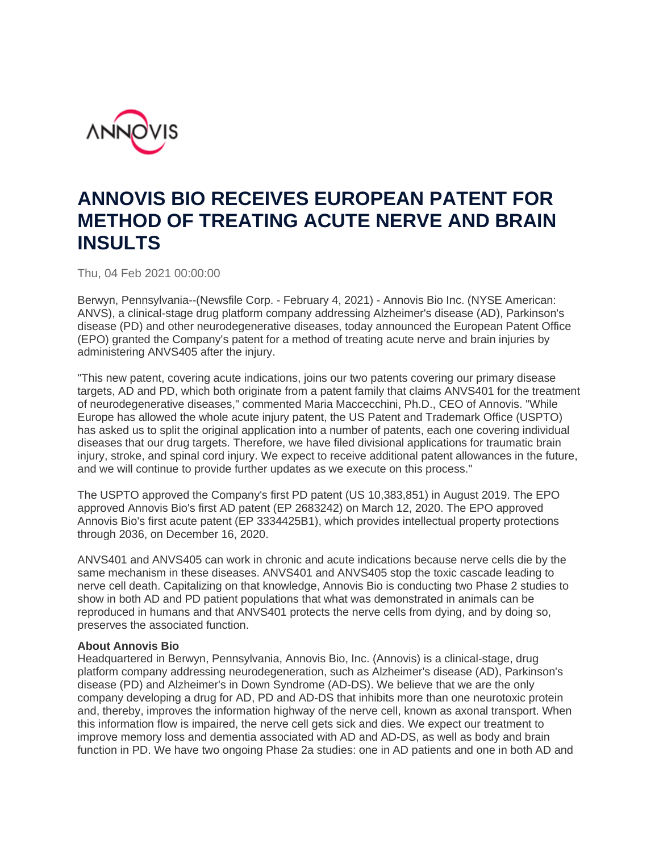

## **ANNOVIS BIO RECEIVES EUROPEAN PATENT FOR METHOD OF TREATING ACUTE NERVE AND BRAIN INSULTS**

Thu, 04 Feb 2021 00:00:00

Berwyn, Pennsylvania--(Newsfile Corp. - February 4, 2021) - Annovis Bio Inc. (NYSE American: ANVS), a clinical-stage drug platform company addressing Alzheimer's disease (AD), Parkinson's disease (PD) and other neurodegenerative diseases, today announced the European Patent Office (EPO) granted the Company's patent for a method of treating acute nerve and brain injuries by administering ANVS405 after the injury.

"This new patent, covering acute indications, joins our two patents covering our primary disease targets, AD and PD, which both originate from a patent family that claims ANVS401 for the treatment of neurodegenerative diseases," commented Maria Maccecchini, Ph.D., CEO of Annovis. "While Europe has allowed the whole acute injury patent, the US Patent and Trademark Office (USPTO) has asked us to split the original application into a number of patents, each one covering individual diseases that our drug targets. Therefore, we have filed divisional applications for traumatic brain injury, stroke, and spinal cord injury. We expect to receive additional patent allowances in the future, and we will continue to provide further updates as we execute on this process."

The USPTO approved the Company's first PD patent (US 10,383,851) in August 2019. The EPO approved Annovis Bio's first AD patent (EP 2683242) on March 12, 2020. The EPO approved Annovis Bio's first acute patent (EP 3334425B1), which provides intellectual property protections through 2036, on December 16, 2020.

ANVS401 and ANVS405 can work in chronic and acute indications because nerve cells die by the same mechanism in these diseases. ANVS401 and ANVS405 stop the toxic cascade leading to nerve cell death. Capitalizing on that knowledge, Annovis Bio is conducting two Phase 2 studies to show in both AD and PD patient populations that what was demonstrated in animals can be reproduced in humans and that ANVS401 protects the nerve cells from dying, and by doing so, preserves the associated function.

## **About Annovis Bio**

Headquartered in Berwyn, Pennsylvania, Annovis Bio, Inc. (Annovis) is a clinical-stage, drug platform company addressing neurodegeneration, such as Alzheimer's disease (AD), Parkinson's disease (PD) and Alzheimer's in Down Syndrome (AD-DS). We believe that we are the only company developing a drug for AD, PD and AD-DS that inhibits more than one neurotoxic protein and, thereby, improves the information highway of the nerve cell, known as axonal transport. When this information flow is impaired, the nerve cell gets sick and dies. We expect our treatment to improve memory loss and dementia associated with AD and AD-DS, as well as body and brain function in PD. We have two ongoing Phase 2a studies: one in AD patients and one in both AD and